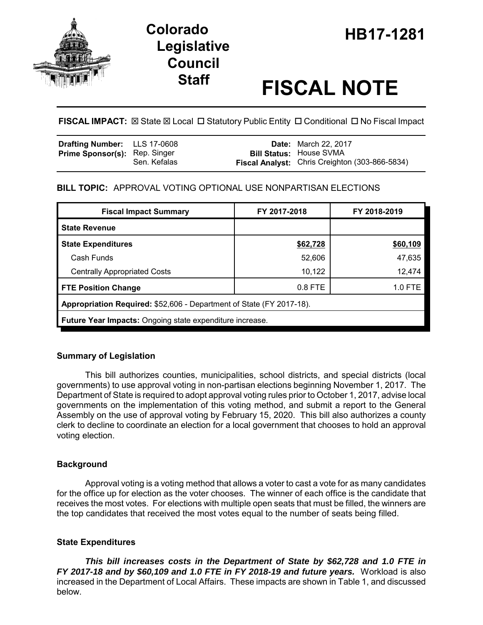

# HB **HB17-1281 Colorado Legislative Council**

# **Staff FISCAL NOTE**

**FISCAL IMPACT:**  $\boxtimes$  **State**  $\boxtimes$  **Local □ Statutory Public Entity □ Conditional □ No Fiscal Impact** 

| <b>Drafting Number:</b> LLS 17-0608  |              | <b>Date:</b> March 22, 2017                                                             |
|--------------------------------------|--------------|-----------------------------------------------------------------------------------------|
| <b>Prime Sponsor(s): Rep. Singer</b> | Sen. Kefalas | <b>Bill Status: House SVMA</b><br><b>Fiscal Analyst:</b> Chris Creighton (303-866-5834) |

# **BILL TOPIC:** APPROVAL VOTING OPTIONAL USE NONPARTISAN ELECTIONS

| <b>Fiscal Impact Summary</b>                                         | FY 2017-2018 | FY 2018-2019 |  |  |  |  |
|----------------------------------------------------------------------|--------------|--------------|--|--|--|--|
| <b>State Revenue</b>                                                 |              |              |  |  |  |  |
| <b>State Expenditures</b>                                            | \$62,728     | \$60,109     |  |  |  |  |
| Cash Funds                                                           | 52,606       | 47,635       |  |  |  |  |
| <b>Centrally Appropriated Costs</b>                                  | 10,122       | 12,474       |  |  |  |  |
| <b>FTE Position Change</b>                                           | $0.8$ FTE    | 1.0 FTE      |  |  |  |  |
| Appropriation Required: \$52,606 - Department of State (FY 2017-18). |              |              |  |  |  |  |
| <b>Future Year Impacts:</b> Ongoing state expenditure increase.      |              |              |  |  |  |  |

# **Summary of Legislation**

This bill authorizes counties, municipalities, school districts, and special districts (local governments) to use approval voting in non-partisan elections beginning November 1, 2017. The Department of State is required to adopt approval voting rules prior to October 1, 2017, advise local governments on the implementation of this voting method, and submit a report to the General Assembly on the use of approval voting by February 15, 2020. This bill also authorizes a county clerk to decline to coordinate an election for a local government that chooses to hold an approval voting election.

# **Background**

Approval voting is a voting method that allows a voter to cast a vote for as many candidates for the office up for election as the voter chooses. The winner of each office is the candidate that receives the most votes. For elections with multiple open seats that must be filled, the winners are the top candidates that received the most votes equal to the number of seats being filled.

# **State Expenditures**

*This bill increases costs in the Department of State by \$62,728 and 1.0 FTE in FY 2017-18 and by \$60,109 and 1.0 FTE in FY 2018-19 and future years.* Workload is also increased in the Department of Local Affairs. These impacts are shown in Table 1, and discussed below.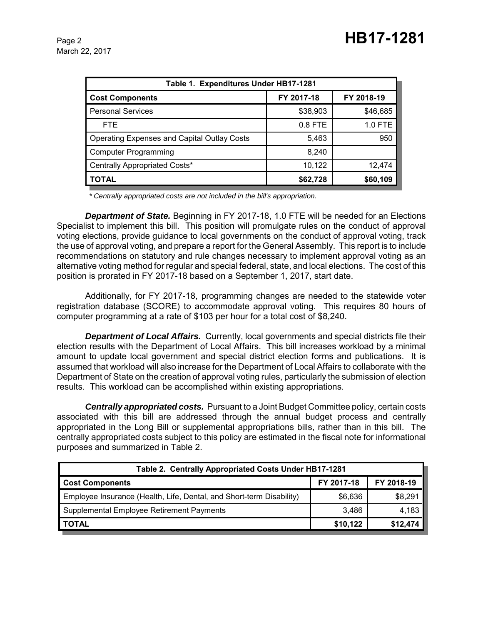March 22, 2017

| Table 1. Expenditures Under HB17-1281              |            |            |  |  |  |  |
|----------------------------------------------------|------------|------------|--|--|--|--|
| <b>Cost Components</b>                             | FY 2017-18 | FY 2018-19 |  |  |  |  |
| <b>Personal Services</b>                           | \$38,903   | \$46,685   |  |  |  |  |
| <b>FTE</b>                                         | $0.8$ FTE  | 1.0 FTE    |  |  |  |  |
| <b>Operating Expenses and Capital Outlay Costs</b> | 5,463      | 950        |  |  |  |  |
| <b>Computer Programming</b>                        | 8,240      |            |  |  |  |  |
| Centrally Appropriated Costs*                      | 10,122     | 12,474     |  |  |  |  |
| <b>TOTAL</b>                                       | \$62,728   | \$60,109   |  |  |  |  |

 *\* Centrally appropriated costs are not included in the bill's appropriation.*

*Department of State.* Beginning in FY 2017-18, 1.0 FTE will be needed for an Elections Specialist to implement this bill. This position will promulgate rules on the conduct of approval voting elections, provide guidance to local governments on the conduct of approval voting, track the use of approval voting, and prepare a report for the General Assembly. This report is to include recommendations on statutory and rule changes necessary to implement approval voting as an alternative voting method for regular and special federal, state, and local elections. The cost of this position is prorated in FY 2017-18 based on a September 1, 2017, start date.

Additionally, for FY 2017-18, programming changes are needed to the statewide voter registration database (SCORE) to accommodate approval voting. This requires 80 hours of computer programming at a rate of \$103 per hour for a total cost of \$8,240.

*Department of Local Affairs.* Currently, local governments and special districts file their election results with the Department of Local Affairs. This bill increases workload by a minimal amount to update local government and special district election forms and publications. It is assumed that workload will also increase for the Department of Local Affairs to collaborate with the Department of State on the creation of approval voting rules, particularly the submission of election results. This workload can be accomplished within existing appropriations.

*Centrally appropriated costs.* Pursuant to a Joint Budget Committee policy, certain costs associated with this bill are addressed through the annual budget process and centrally appropriated in the Long Bill or supplemental appropriations bills, rather than in this bill. The centrally appropriated costs subject to this policy are estimated in the fiscal note for informational purposes and summarized in Table 2.

| Table 2. Centrally Appropriated Costs Under HB17-1281                |            |            |  |  |  |
|----------------------------------------------------------------------|------------|------------|--|--|--|
| <b>Cost Components</b>                                               | FY 2017-18 | FY 2018-19 |  |  |  |
| Employee Insurance (Health, Life, Dental, and Short-term Disability) | \$6,636    | \$8,291    |  |  |  |
| Supplemental Employee Retirement Payments                            | 3.486      | 4,183      |  |  |  |
| <b>TOTAL</b>                                                         | \$10,122   | \$12,474   |  |  |  |